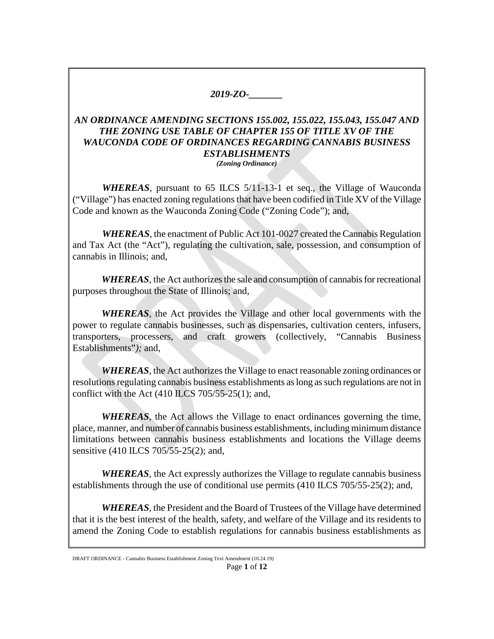## *2019-ZO-\_\_\_\_\_\_\_*

## *AN ORDINANCE AMENDING SECTIONS 155.002, 155.022, 155.043, 155.047 AND THE ZONING USE TABLE OF CHAPTER 155 OF TITLE XV OF THE WAUCONDA CODE OF ORDINANCES REGARDING CANNABIS BUSINESS ESTABLISHMENTS (Zoning Ordinance)*

*WHEREAS*, pursuant to 65 ILCS 5/11-13-1 et seq., the Village of Wauconda ("Village") has enacted zoning regulations that have been codified in Title XV of the Village Code and known as the Wauconda Zoning Code ("Zoning Code"); and,

*WHEREAS*, the enactment of Public Act 101-0027 created the Cannabis Regulation and Tax Act (the "Act"), regulating the cultivation, sale, possession, and consumption of cannabis in Illinois; and,

*WHEREAS*, the Act authorizes the sale and consumption of cannabis for recreational purposes throughout the State of Illinois; and,

*WHEREAS*, the Act provides the Village and other local governments with the power to regulate cannabis businesses, such as dispensaries, cultivation centers, infusers, transporters, processers, and craft growers (collectively, "Cannabis Business Establishments"*);* and,

*WHEREAS*, the Act authorizes the Village to enact reasonable zoning ordinances or resolutions regulating cannabis business establishments as long as such regulations are not in conflict with the Act  $(410$  ILCS 705/55-25(1); and,

*WHEREAS*, the Act allows the Village to enact ordinances governing the time, place, manner, and number of cannabis business establishments, including minimum distance limitations between cannabis business establishments and locations the Village deems sensitive (410 ILCS 705/55-25(2); and,

*WHEREAS*, the Act expressly authorizes the Village to regulate cannabis business establishments through the use of conditional use permits (410 ILCS 705/55-25(2); and,

*WHEREAS*, the President and the Board of Trustees of the Village have determined that it is the best interest of the health, safety, and welfare of the Village and its residents to amend the Zoning Code to establish regulations for cannabis business establishments as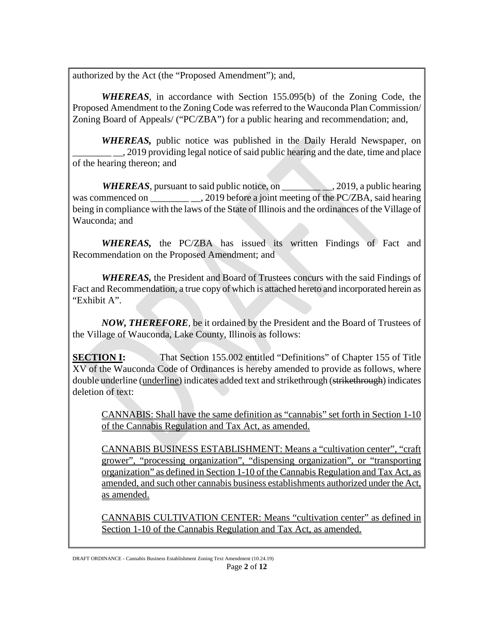authorized by the Act (the "Proposed Amendment"); and,

*WHEREAS*, in accordance with Section 155.095(b) of the Zoning Code, the Proposed Amendment to the Zoning Code was referred to the Wauconda Plan Commission/ Zoning Board of Appeals/ ("PC/ZBA") for a public hearing and recommendation; and,

*WHEREAS,* public notice was published in the Daily Herald Newspaper, on \_\_\_\_\_\_\_\_ \_\_, 2019 providing legal notice of said public hearing and the date, time and place of the hearing thereon; and

*WHEREAS*, pursuant to said public notice, on \_\_\_\_\_\_\_\_ \_\_, 2019, a public hearing was commenced on . 2019 before a joint meeting of the PC/ZBA, said hearing being in compliance with the laws of the State of Illinois and the ordinances of the Village of Wauconda; and

*WHEREAS,* the PC/ZBA has issued its written Findings of Fact and Recommendation on the Proposed Amendment; and

*WHEREAS,* the President and Board of Trustees concurs with the said Findings of Fact and Recommendation, a true copy of which is attached hereto and incorporated herein as "Exhibit A".

*NOW, THEREFORE,* be it ordained by the President and the Board of Trustees of the Village of Wauconda, Lake County, Illinois as follows:

**SECTION I:** That Section 155.002 entitled "Definitions" of Chapter 155 of Title XV of the Wauconda Code of Ordinances is hereby amended to provide as follows, where double underline (underline) indicates added text and strikethrough (strikethrough) indicates deletion of text:

CANNABIS: Shall have the same definition as "cannabis" set forth in Section 1-10 of the Cannabis Regulation and Tax Act, as amended.

CANNABIS BUSINESS ESTABLISHMENT: Means a "cultivation center", "craft grower", "processing organization", "dispensing organization", or "transporting organization" as defined in Section 1-10 of the Cannabis Regulation and Tax Act, as amended, and such other cannabis business establishments authorized under the Act, as amended.

CANNABIS CULTIVATION CENTER: Means "cultivation center" as defined in Section 1-10 of the Cannabis Regulation and Tax Act, as amended.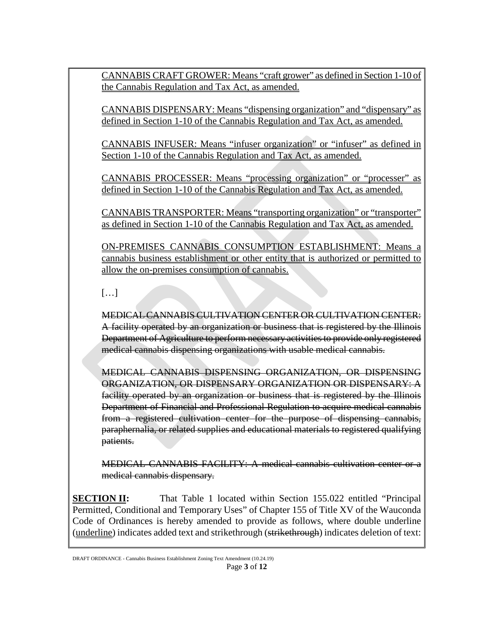CANNABIS CRAFT GROWER: Means "craft grower" as defined in Section 1-10 of the Cannabis Regulation and Tax Act, as amended.

CANNABIS DISPENSARY: Means "dispensing organization" and "dispensary" as defined in Section 1-10 of the Cannabis Regulation and Tax Act, as amended.

CANNABIS INFUSER: Means "infuser organization" or "infuser" as defined in Section 1-10 of the Cannabis Regulation and Tax Act, as amended.

CANNABIS PROCESSER: Means "processing organization" or "processer" as defined in Section 1-10 of the Cannabis Regulation and Tax Act, as amended.

CANNABIS TRANSPORTER: Means "transporting organization" or "transporter" as defined in Section 1-10 of the Cannabis Regulation and Tax Act, as amended.

ON-PREMISES CANNABIS CONSUMPTION ESTABLISHMENT: Means a cannabis business establishment or other entity that is authorized or permitted to allow the on-premises consumption of cannabis.

[…]

MEDICAL CANNABIS CULTIVATION CENTER OR CULTIVATION CENTER: A facility operated by an organization or business that is registered by the Illinois Department of Agriculture to perform necessary activities to provide only registered medical cannabis dispensing organizations with usable medical cannabis.

MEDICAL CANNABIS DISPENSING ORGANIZATION, OR DISPENSING ORGANIZATION, OR DISPENSARY ORGANIZATION OR DISPENSARY: A facility operated by an organization or business that is registered by the Illinois Department of Financial and Professional Regulation to acquire medical cannabis from a registered cultivation center for the purpose of dispensing cannabis, paraphernalia, or related supplies and educational materials to registered qualifying patients.

MEDICAL CANNABIS FACILITY: A medical cannabis cultivation center or a medical cannabis dispensary.

**SECTION II:** That Table 1 located within Section 155.022 entitled "Principal" Permitted, Conditional and Temporary Uses" of Chapter 155 of Title XV of the Wauconda Code of Ordinances is hereby amended to provide as follows, where double underline (underline) indicates added text and strikethrough (strikethrough) indicates deletion of text: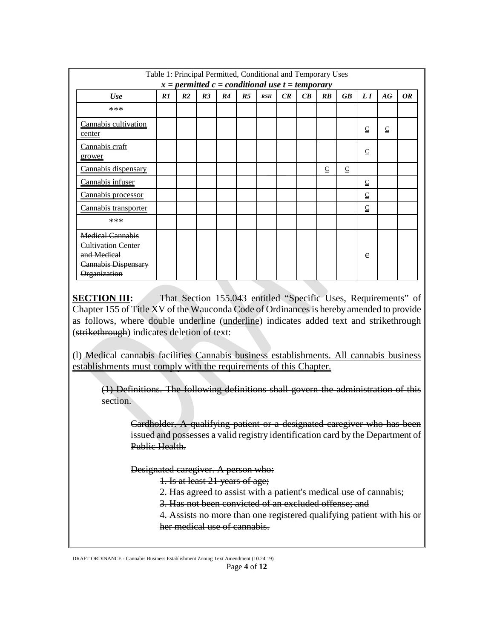| Table 1: Principal Permitted, Conditional and Temporary Uses<br>$x = permitted c = conditional use t = temporary$ |    |                |                |    |                |     |    |    |             |             |              |              |           |
|-------------------------------------------------------------------------------------------------------------------|----|----------------|----------------|----|----------------|-----|----|----|-------------|-------------|--------------|--------------|-----------|
| Use                                                                                                               | RI | R <sub>2</sub> | R <sub>3</sub> | R4 | R <sub>5</sub> | RSH | CR | CB | <b>RB</b>   | <b>GB</b>   | L I          | AG           | <i>OR</i> |
| ***                                                                                                               |    |                |                |    |                |     |    |    |             |             |              |              |           |
| Cannabis cultivation<br>center                                                                                    |    |                |                |    |                |     |    |    |             |             | C            | $\mathsf{C}$ |           |
| Cannabis craft<br>grower                                                                                          |    |                |                |    |                |     |    |    |             |             | $\mathsf{C}$ |              |           |
| Cannabis dispensary                                                                                               |    |                |                |    |                |     |    |    | $\subseteq$ | $\subseteq$ |              |              |           |
| Cannabis infuser                                                                                                  |    |                |                |    |                |     |    |    |             |             | $\subseteq$  |              |           |
| Cannabis processor                                                                                                |    |                |                |    |                |     |    |    |             |             | $\mathsf{C}$ |              |           |
| Cannabis transporter                                                                                              |    |                |                |    |                |     |    |    |             |             | $\subseteq$  |              |           |
| ***                                                                                                               |    |                |                |    |                |     |    |    |             |             |              |              |           |
| <b>Medical Cannabis</b><br><b>Cultivation Center</b><br>and Medical<br><b>Cannabis Dispensary</b><br>Organization |    |                |                |    |                |     |    |    |             |             | e            |              |           |

**SECTION III:** That Section 155.043 entitled "Specific Uses, Requirements" of Chapter 155 of Title XV of the Wauconda Code of Ordinancesis hereby amended to provide as follows, where double underline (underline) indicates added text and strikethrough (strikethrough) indicates deletion of text:

(l) Medical cannabis facilities Cannabis business establishments. All cannabis business establishments must comply with the requirements of this Chapter.

(1) Definitions. The following definitions shall govern the administration of this section.

Cardholder. A qualifying patient or a designated caregiver who has been issued and possesses a valid registry identification card by the Department of Public Health.

Designated caregiver. A person who:

1. Is at least 21 years of age;

2. Has agreed to assist with a patient's medical use of cannabis;

3. Has not been convicted of an excluded offense; and

4. Assists no more than one registered qualifying patient with his or her medical use of cannabis.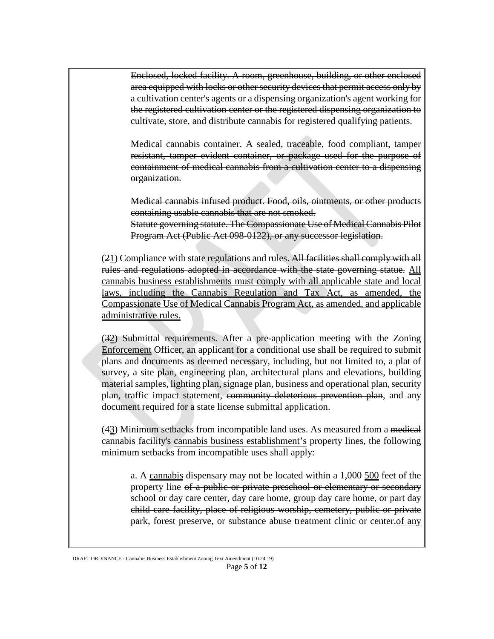Enclosed, locked facility. A room, greenhouse, building, or other enclosed area equipped with locks or other security devices that permit access only by a cultivation center's agents or a dispensing organization's agent working for the registered cultivation center or the registered dispensing organization to cultivate, store, and distribute cannabis for registered qualifying patients.

Medical cannabis container. A sealed, traceable, food compliant, tamper resistant, tamper evident container, or package used for the purpose of containment of medical cannabis from a cultivation center to a dispensing organization.

Medical cannabis infused product. Food, oils, ointments, or other products containing usable cannabis that are not smoked. Statute governing statute. The Compassionate Use of Medical Cannabis Pilot Program Act (Public Act 098-0122), or any successor legislation.

 $(21)$  Compliance with state regulations and rules. All facilities shall comply with all rules and regulations adopted in accordance with the state governing statue. All cannabis business establishments must comply with all applicable state and local laws, including the Cannabis Regulation and Tax Act, as amended, the Compassionate Use of Medical Cannabis Program Act, as amended, and applicable administrative rules.

(32) Submittal requirements. After a pre-application meeting with the Zoning Enforcement Officer, an applicant for a conditional use shall be required to submit plans and documents as deemed necessary, including, but not limited to, a plat of survey, a site plan, engineering plan, architectural plans and elevations, building material samples, lighting plan, signage plan, business and operational plan, security plan, traffic impact statement, community deleterious prevention plan, and any document required for a state license submittal application.

(43) Minimum setbacks from incompatible land uses. As measured from a medical cannabis facility's cannabis business establishment's property lines, the following minimum setbacks from incompatible uses shall apply:

a. A cannabis dispensary may not be located within a 1,000 500 feet of the property line of a public or private preschool or elementary or secondary school or day care center, day care home, group day care home, or part day child care facility, place of religious worship, cemetery, public or private park, forest preserve, or substance abuse treatment clinic or center.of any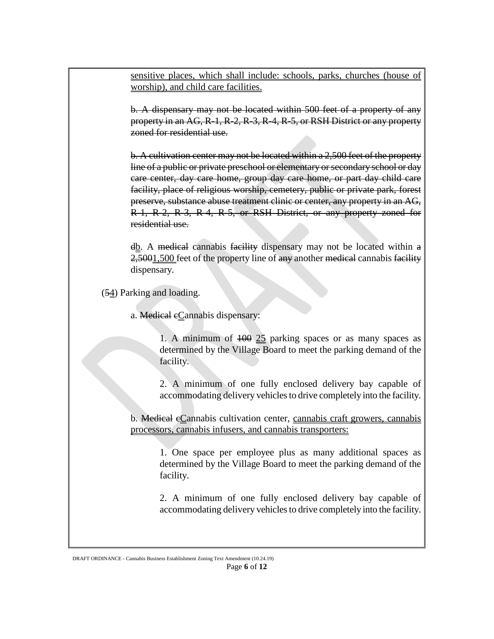sensitive places, which shall include: schools, parks, churches (house of worship), and child care facilities.

b. A dispensary may not be located within 500 feet of a property of any property in an AG, R-1, R-2, R-3, R-4, R-5, or RSH District or any property zoned for residential use.

b. A cultivation center may not be located within a 2,500 feet of the property line of a public or private preschool or elementary or secondary school or day care center, day care home, group day care home, or part day child care facility, place of religious worship, cemetery, public or private park, forest preserve, substance abuse treatment clinic or center, any property in an AG, R-1, R-2, R-3, R-4, R-5, or RSH District, or any property zoned for residential use.

 $d\underline{b}$ . A medical cannabis facility dispensary may not be located within a 2,5001,500 feet of the property line of any another medical cannabis facility dispensary.

(54) Parking and loading.

a. Medical eCannabis dispensary:

1. A minimum of 100 25 parking spaces or as many spaces as determined by the Village Board to meet the parking demand of the facility.

2. A minimum of one fully enclosed delivery bay capable of accommodating delivery vehicles to drive completely into the facility.

b. Medical cCannabis cultivation center, cannabis craft growers, cannabis processors, cannabis infusers, and cannabis transporters:

1. One space per employee plus as many additional spaces as determined by the Village Board to meet the parking demand of the facility.

2. A minimum of one fully enclosed delivery bay capable of accommodating delivery vehicles to drive completely into the facility.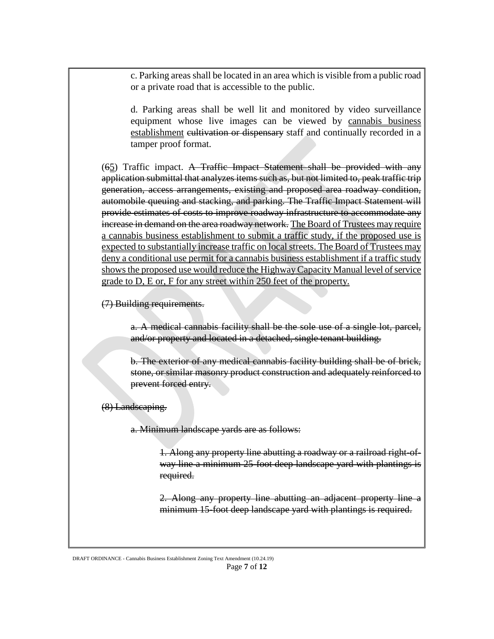c. Parking areas shall be located in an area which is visible from a public road or a private road that is accessible to the public.

d. Parking areas shall be well lit and monitored by video surveillance equipment whose live images can be viewed by cannabis business establishment cultivation or dispensary staff and continually recorded in a tamper proof format.

 $(65)$  Traffic impact. A Traffic Impact Statement shall be provided with any application submittal that analyzes items such as, but not limited to, peak traffic trip generation, access arrangements, existing and proposed area roadway condition, automobile queuing and stacking, and parking. The Traffic Impact Statement will provide estimates of costs to improve roadway infrastructure to accommodate any increase in demand on the area roadway network. The Board of Trustees may require a cannabis business establishment to submit a traffic study, if the proposed use is expected to substantially increase traffic on local streets. The Board of Trustees may deny a conditional use permit for a cannabis business establishment if a traffic study shows the proposed use would reduce the Highway Capacity Manual level of service grade to D, E or, F for any street within 250 feet of the property.

(7) Building requirements.

a. A medical cannabis facility shall be the sole use of a single lot, parcel, and/or property and located in a detached, single tenant building.

b. The exterior of any medical cannabis facility building shall be of brick, stone, or similar masonry product construction and adequately reinforced to prevent forced entry.

(8) Landscaping.

a. Minimum landscape yards are as follows:

1. Along any property line abutting a roadway or a railroad right-ofway line a minimum 25-foot deep landscape yard with plantings is required.

2. Along any property line abutting an adjacent property line a minimum 15-foot deep landscape yard with plantings is required.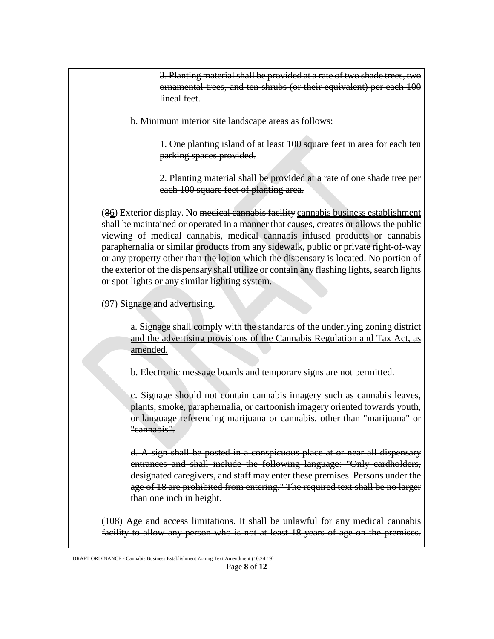3. Planting material shall be provided at a rate of two shade trees, two ornamental trees, and ten shrubs (or their equivalent) per each 100 lineal feet.

b. Minimum interior site landscape areas as follows:

1. One planting island of at least 100 square feet in area for each ten parking spaces provided.

2. Planting material shall be provided at a rate of one shade tree per each 100 square feet of planting area.

(86) Exterior display. No medical cannabis facility cannabis business establishment shall be maintained or operated in a manner that causes, creates or allows the public viewing of medical cannabis, medical cannabis infused products or cannabis paraphernalia or similar products from any sidewalk, public or private right-of-way or any property other than the lot on which the dispensary is located. No portion of the exterior of the dispensary shall utilize or contain any flashing lights, search lights or spot lights or any similar lighting system.

(97) Signage and advertising.

a. Signage shall comply with the standards of the underlying zoning district and the advertising provisions of the Cannabis Regulation and Tax Act, as amended.

b. Electronic message boards and temporary signs are not permitted.

c. Signage should not contain cannabis imagery such as cannabis leaves, plants, smoke, paraphernalia, or cartoonish imagery oriented towards youth, or language referencing marijuana or cannabis. other than "marijuana" or "cannabis".

d. A sign shall be posted in a conspicuous place at or near all dispensary entrances and shall include the following language: "Only cardholders, designated caregivers, and staff may enter these premises. Persons under the age of 18 are prohibited from entering." The required text shall be no larger than one inch in height.

 $(108)$  Age and access limitations. It shall be unlawful for any medical cannabis facility to allow any person who is not at least 18 years of age on the premises.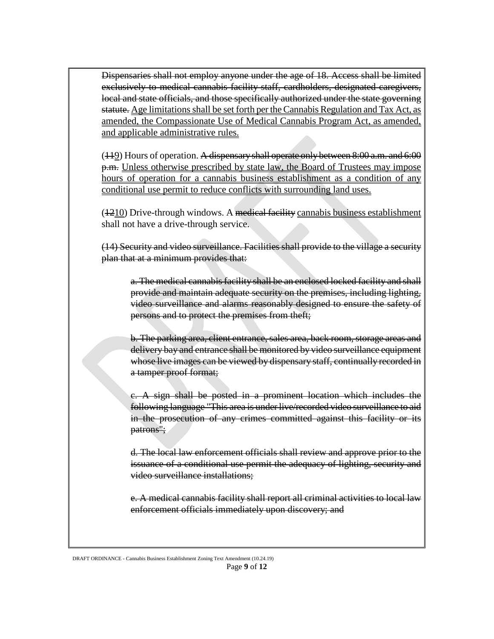Dispensaries shall not employ anyone under the age of 18. Access shall be limited exclusively to medical cannabis facility staff, cardholders, designated caregivers, local and state officials, and those specifically authorized under the state governing statute. Age limitations shall be set forth per theCannabis Regulation and Tax Act, as amended, the Compassionate Use of Medical Cannabis Program Act, as amended, and applicable administrative rules.

(449) Hours of operation. A dispensary shall operate only between 8:00 a.m. and 6:00 p.m. Unless otherwise prescribed by state law, the Board of Trustees may impose hours of operation for a cannabis business establishment as a condition of any conditional use permit to reduce conflicts with surrounding land uses.

 $(1210)$  Drive-through windows. A medical facility cannabis business establishment shall not have a drive-through service.

(14) Security and video surveillance. Facilities shall provide to the village a security plan that at a minimum provides that:

a. The medical cannabis facility shall be an enclosed locked facility and shall provide and maintain adequate security on the premises, including lighting, video surveillance and alarms reasonably designed to ensure the safety of persons and to protect the premises from theft;

b. The parking area, client entrance, sales area, back room, storage areas and delivery bay and entrance shall be monitored by video surveillance equipment whose live images can be viewed by dispensary staff, continually recorded in a tamper proof format;

c. A sign shall be posted in a prominent location which includes the following language "This area is under live/recorded video surveillance to aid in the prosecution of any crimes committed against this facility or its patrons";

d. The local law enforcement officials shall review and approve prior to the issuance of a conditional use permit the adequacy of lighting, security and video surveillance installations;

e. A medical cannabis facility shall report all criminal activities to local law enforcement officials immediately upon discovery; and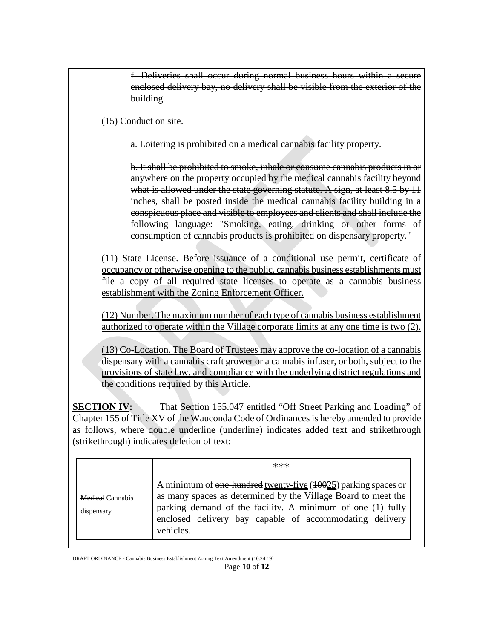f. Deliveries shall occur during normal business hours within a secure enclosed delivery bay, no delivery shall be visible from the exterior of the building.

(15) Conduct on site.

a. Loitering is prohibited on a medical cannabis facility property.

b. It shall be prohibited to smoke, inhale or consume cannabis products in or anywhere on the property occupied by the medical cannabis facility beyond what is allowed under the state governing statute. A sign, at least 8.5 by 11 inches, shall be posted inside the medical cannabis facility building in a conspicuous place and visible to employees and clients and shall include the following language: "Smoking, eating, drinking or other forms of consumption of cannabis products is prohibited on dispensary property."

(11) State License. Before issuance of a conditional use permit, certificate of occupancy or otherwise opening to the public, cannabis business establishments must file a copy of all required state licenses to operate as a cannabis business establishment with the Zoning Enforcement Officer.

(12) Number. The maximum number of each type of cannabis business establishment authorized to operate within the Village corporate limits at any one time is two (2).

(13) Co-Location. The Board of Trustees may approve the co-location of a cannabis dispensary with a cannabis craft grower or a cannabis infuser, or both, subject to the provisions of state law, and compliance with the underlying district regulations and the conditions required by this Article.

**SECTION IV:** That Section 155.047 entitled "Off Street Parking and Loading" of Chapter 155 of Title XV of the Wauconda Code of Ordinances is hereby amended to provide as follows, where double underline (underline) indicates added text and strikethrough (strikethrough) indicates deletion of text:

|                                       | $***$                                                                                                                                                                                                                                                                 |
|---------------------------------------|-----------------------------------------------------------------------------------------------------------------------------------------------------------------------------------------------------------------------------------------------------------------------|
| <b>Medical Cannabis</b><br>dispensary | A minimum of one-hundred twenty-five (10025) parking spaces or<br>as many spaces as determined by the Village Board to meet the<br>parking demand of the facility. A minimum of one (1) fully<br>enclosed delivery bay capable of accommodating delivery<br>vehicles. |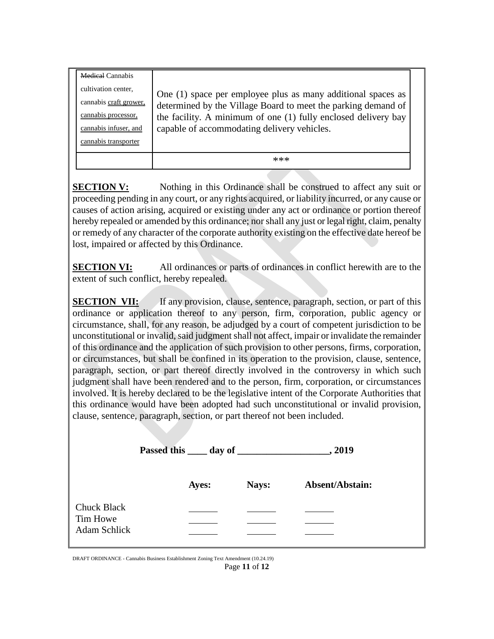| <b>Medical Cannabis</b> |                                                                |  |  |
|-------------------------|----------------------------------------------------------------|--|--|
| cultivation center,     | One (1) space per employee plus as many additional spaces as   |  |  |
| cannabis craft grower,  | determined by the Village Board to meet the parking demand of  |  |  |
| cannabis processor,     | the facility. A minimum of one (1) fully enclosed delivery bay |  |  |
| cannabis infuser, and   | capable of accommodating delivery vehicles.                    |  |  |
| cannabis transporter    |                                                                |  |  |
|                         | $***$                                                          |  |  |

**SECTION V:** Nothing in this Ordinance shall be construed to affect any suit or proceeding pending in any court, or any rights acquired, or liability incurred, or any cause or causes of action arising, acquired or existing under any act or ordinance or portion thereof hereby repealed or amended by this ordinance; nor shall any just or legal right, claim, penalty or remedy of any character of the corporate authority existing on the effective date hereof be lost, impaired or affected by this Ordinance.

**SECTION VI:** All ordinances or parts of ordinances in conflict herewith are to the extent of such conflict, hereby repealed.

**SECTION VII:** If any provision, clause, sentence, paragraph, section, or part of this ordinance or application thereof to any person, firm, corporation, public agency or circumstance, shall, for any reason, be adjudged by a court of competent jurisdiction to be unconstitutional or invalid, said judgment shall not affect, impair or invalidate the remainder of this ordinance and the application of such provision to other persons, firms, corporation, or circumstances, but shall be confined in its operation to the provision, clause, sentence, paragraph, section, or part thereof directly involved in the controversy in which such judgment shall have been rendered and to the person, firm, corporation, or circumstances involved. It is hereby declared to be the legislative intent of the Corporate Authorities that this ordinance would have been adopted had such unconstitutional or invalid provision, clause, sentence, paragraph, section, or part thereof not been included.

|                                                       |       |       | , 2019                 |  |  |
|-------------------------------------------------------|-------|-------|------------------------|--|--|
|                                                       | Ayes: | Nays: | <b>Absent/Abstain:</b> |  |  |
| <b>Chuck Black</b><br>Tim Howe<br><b>Adam Schlick</b> |       |       |                        |  |  |
|                                                       |       |       |                        |  |  |

DRAFT ORDINANCE - Cannabis Business Establishment Zoning Text Amendment (10.24.19) Page **11** of **12**